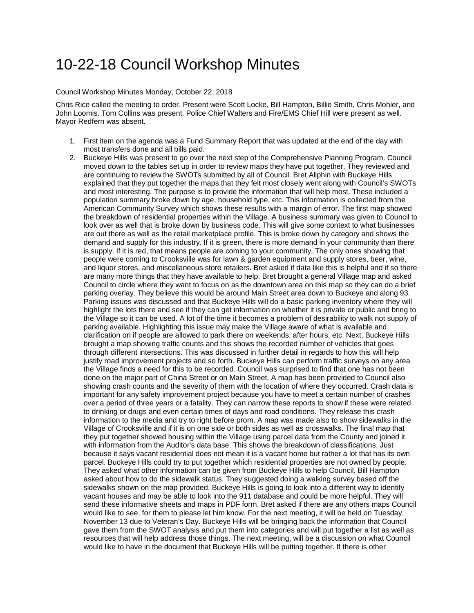## 10-22-18 Council Workshop Minutes

## Council Workshop Minutes Monday, October 22, 2018

Chris Rice called the meeting to order. Present were Scott Locke, Bill Hampton, Billie Smith, Chris Mohler, and John Loomis. Tom Collins was present. Police Chief Walters and Fire/EMS Chief Hill were present as well. Mayor Redfern was absent.

- 1. First item on the agenda was a Fund Summary Report that was updated at the end of the day with most transfers done and all bills paid.
- 2. Buckeye Hills was present to go over the next step of the Comprehensive Planning Program. Council moved down to the tables set up in order to review maps they have put together. They reviewed and are continuing to review the SWOTs submitted by all of Council. Bret Allphin with Buckeye Hills explained that they put together the maps that they felt most closely went along with Council's SWOTs and most interesting. The purpose is to provide the information that will help most. These included a population summary broke down by age, household type, etc. This information is collected from the American Community Survey which shows these results with a margin of error. The first map showed the breakdown of residential properties within the Village. A business summary was given to Council to look over as well that is broke down by business code. This will give some context to what businesses are out there as well as the retail marketplace profile. This is broke down by category and shows the demand and supply for this industry. If it is green, there is more demand in your community than there is supply. If it is red, that means people are coming to your community. The only ones showing that people were coming to Crooksville was for lawn & garden equipment and supply stores, beer, wine, and liquor stores, and miscellaneous store retailers. Bret asked if data like this is helpful and if so there are many more things that they have available to help. Bret brought a general Village map and asked Council to circle where they want to focus on as the downtown area on this map so they can do a brief parking overlay. They believe this would be around Main Street area down to Buckeye and along 93. Parking issues was discussed and that Buckeye Hills will do a basic parking inventory where they will highlight the lots there and see if they can get information on whether it is private or public and bring to the Village so it can be used. A lot of the time it becomes a problem of desirability to walk not supply of parking available. Highlighting this issue may make the Village aware of what is available and clarification on if people are allowed to park there on weekends, after hours, etc. Next, Buckeye Hills brought a map showing traffic counts and this shows the recorded number of vehicles that goes through different intersections. This was discussed in further detail in regards to how this will help justify road improvement projects and so forth. Buckeye Hills can perform traffic surveys on any area the Village finds a need for this to be recorded. Council was surprised to find that one has not been done on the major part of China Street or on Main Street. A map has been provided to Council also showing crash counts and the severity of them with the location of where they occurred. Crash data is important for any safety improvement project because you have to meet a certain number of crashes over a period of three years or a fatality. They can narrow these reports to show if these were related to drinking or drugs and even certain times of days and road conditions. They release this crash information to the media and try to right before prom. A map was made also to show sidewalks in the Village of Crooksville and if it is on one side or both sides as well as crosswalks. The final map that they put together showed housing within the Village using parcel data from the County and joined it with information from the Auditor's data base. This shows the breakdown of classifications. Just because it says vacant residential does not mean it is a vacant home but rather a lot that has its own parcel. Buckeye Hills could try to put together which residential properties are not owned by people. They asked what other information can be given from Buckeye Hills to help Council. Bill Hampton asked about how to do the sidewalk status. They suggested doing a walking survey based off the sidewalks shown on the map provided. Buckeye Hills is going to look into a different way to identify vacant houses and may be able to look into the 911 database and could be more helpful. They will send these informative sheets and maps in PDF form. Bret asked if there are any others maps Council would like to see, for them to please let him know. For the next meeting, it will be held on Tuesday, November 13 due to Veteran's Day. Buckeye Hills will be bringing back the information that Council gave them from the SWOT analysis and put them into categories and will put together a list as well as resources that will help address those things. The next meeting, will be a discussion on what Council would like to have in the document that Buckeye Hills will be putting together. If there is other